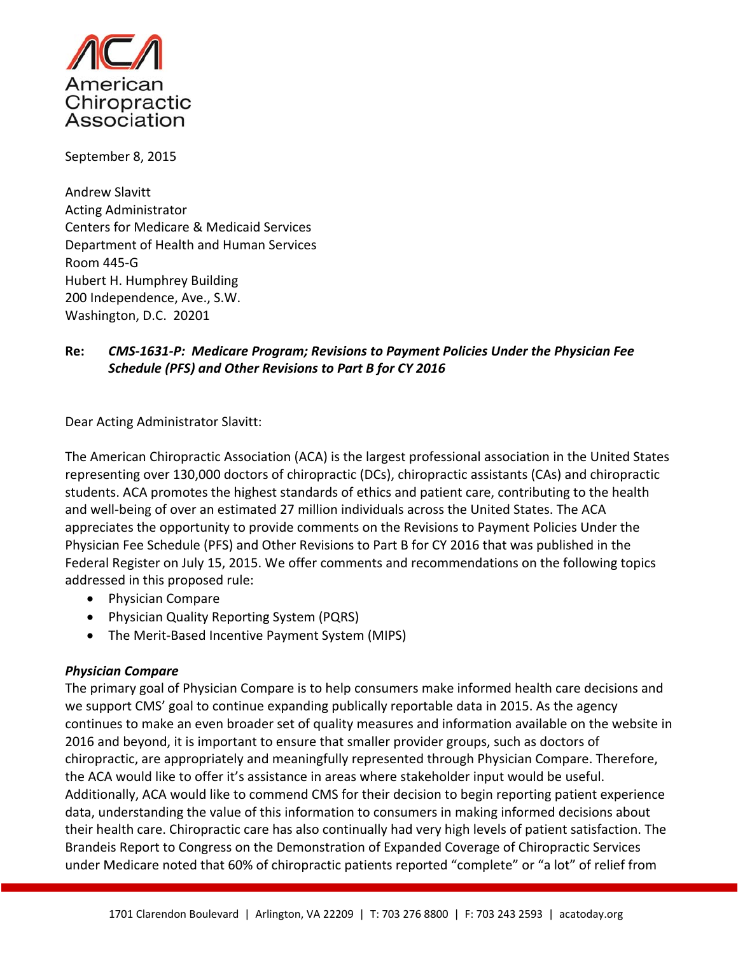

September 8, 2015

Andrew Slavitt Acting Administrator Centers for Medicare & Medicaid Services Department of Health and Human Services Room 445‐G Hubert H. Humphrey Building 200 Independence, Ave., S.W. Washington, D.C. 20201

## **Re:** *CMS‐1631‐P: Medicare Program; Revisions to Payment Policies Under the Physician Fee Schedule (PFS) and Other Revisions to Part B for CY 2016*

Dear Acting Administrator Slavitt:

The American Chiropractic Association (ACA) is the largest professional association in the United States representing over 130,000 doctors of chiropractic (DCs), chiropractic assistants (CAs) and chiropractic students. ACA promotes the highest standards of ethics and patient care, contributing to the health and well-being of over an estimated 27 million individuals across the United States. The ACA appreciates the opportunity to provide comments on the Revisions to Payment Policies Under the Physician Fee Schedule (PFS) and Other Revisions to Part B for CY 2016 that was published in the Federal Register on July 15, 2015. We offer comments and recommendations on the following topics addressed in this proposed rule:

- Physician Compare
- Physician Quality Reporting System (PQRS)
- The Merit-Based Incentive Payment System (MIPS)

#### *Physician Compare*

The primary goal of Physician Compare is to help consumers make informed health care decisions and we support CMS' goal to continue expanding publically reportable data in 2015. As the agency continues to make an even broader set of quality measures and information available on the website in 2016 and beyond, it is important to ensure that smaller provider groups, such as doctors of chiropractic, are appropriately and meaningfully represented through Physician Compare. Therefore, the ACA would like to offer it's assistance in areas where stakeholder input would be useful. Additionally, ACA would like to commend CMS for their decision to begin reporting patient experience data, understanding the value of this information to consumers in making informed decisions about their health care. Chiropractic care has also continually had very high levels of patient satisfaction. The Brandeis Report to Congress on the Demonstration of Expanded Coverage of Chiropractic Services under Medicare noted that 60% of chiropractic patients reported "complete" or "a lot" of relief from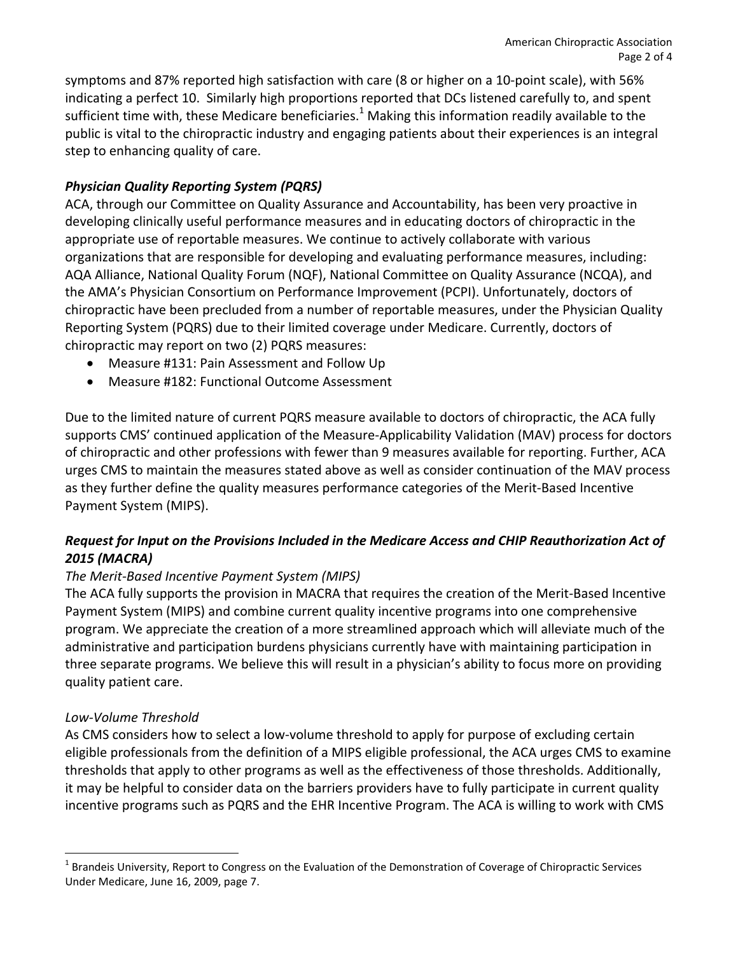symptoms and 87% reported high satisfaction with care (8 or higher on a 10‐point scale), with 56% indicating a perfect 10. Similarly high proportions reported that DCs listened carefully to, and spent sufficient time with, these Medicare beneficiaries.<sup>1</sup> Making this information readily available to the public is vital to the chiropractic industry and engaging patients about their experiences is an integral step to enhancing quality of care.

# *Physician Quality Reporting System (PQRS)*

ACA, through our Committee on Quality Assurance and Accountability, has been very proactive in developing clinically useful performance measures and in educating doctors of chiropractic in the appropriate use of reportable measures. We continue to actively collaborate with various organizations that are responsible for developing and evaluating performance measures, including: AQA Alliance, National Quality Forum (NQF), National Committee on Quality Assurance (NCQA), and the AMA's Physician Consortium on Performance Improvement (PCPI). Unfortunately, doctors of chiropractic have been precluded from a number of reportable measures, under the Physician Quality Reporting System (PQRS) due to their limited coverage under Medicare. Currently, doctors of chiropractic may report on two (2) PQRS measures:

- Measure #131: Pain Assessment and Follow Up
- Measure #182: Functional Outcome Assessment

Due to the limited nature of current PQRS measure available to doctors of chiropractic, the ACA fully supports CMS' continued application of the Measure‐Applicability Validation (MAV) process for doctors of chiropractic and other professions with fewer than 9 measures available for reporting. Further, ACA urges CMS to maintain the measures stated above as well as consider continuation of the MAV process as they further define the quality measures performance categories of the Merit‐Based Incentive Payment System (MIPS).

## *Request for Input on the Provisions Included in the Medicare Access and CHIP Reauthorization Act of 2015 (MACRA)*

### *The Merit‐Based Incentive Payment System (MIPS)*

The ACA fully supports the provision in MACRA that requires the creation of the Merit‐Based Incentive Payment System (MIPS) and combine current quality incentive programs into one comprehensive program. We appreciate the creation of a more streamlined approach which will alleviate much of the administrative and participation burdens physicians currently have with maintaining participation in three separate programs. We believe this will result in a physician's ability to focus more on providing quality patient care.

### *Low‐Volume Threshold*

As CMS considers how to select a low-volume threshold to apply for purpose of excluding certain eligible professionals from the definition of a MIPS eligible professional, the ACA urges CMS to examine thresholds that apply to other programs as well as the effectiveness of those thresholds. Additionally, it may be helpful to consider data on the barriers providers have to fully participate in current quality incentive programs such as PQRS and the EHR Incentive Program. The ACA is willing to work with CMS

<sup>&</sup>lt;sup>1</sup> Brandeis University, Report to Congress on the Evaluation of the Demonstration of Coverage of Chiropractic Services Under Medicare, June 16, 2009, page 7.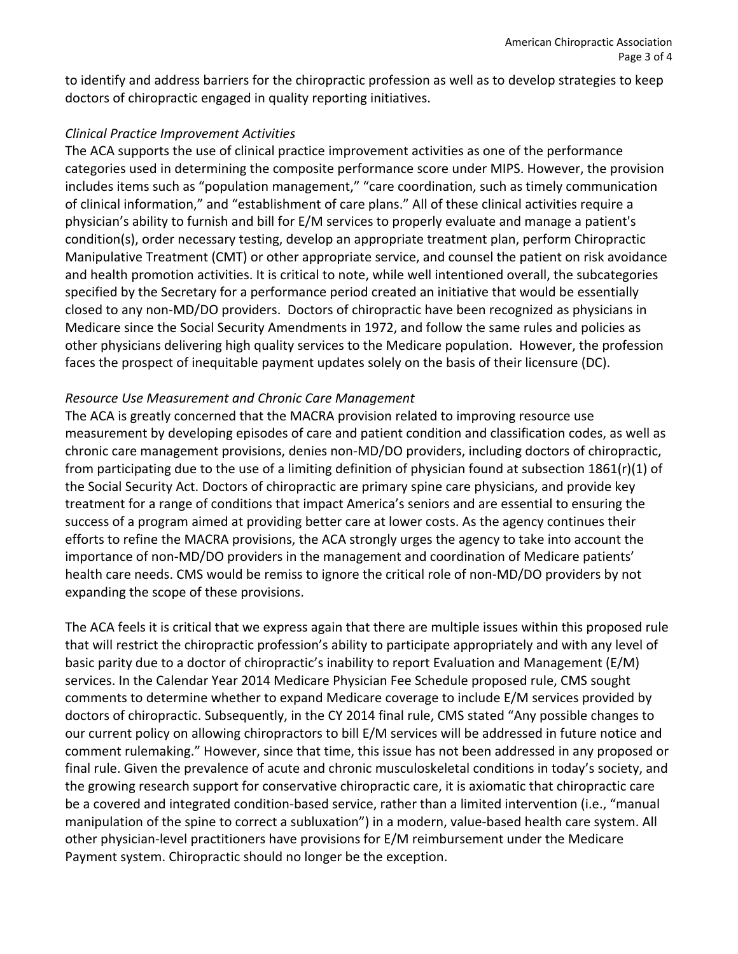to identify and address barriers for the chiropractic profession as well as to develop strategies to keep doctors of chiropractic engaged in quality reporting initiatives.

#### *Clinical Practice Improvement Activities*

The ACA supports the use of clinical practice improvement activities as one of the performance categories used in determining the composite performance score under MIPS. However, the provision includes items such as "population management," "care coordination, such as timely communication of clinical information," and "establishment of care plans." All of these clinical activities require a physician's ability to furnish and bill for E/M services to properly evaluate and manage a patient's condition(s), order necessary testing, develop an appropriate treatment plan, perform Chiropractic Manipulative Treatment (CMT) or other appropriate service, and counsel the patient on risk avoidance and health promotion activities. It is critical to note, while well intentioned overall, the subcategories specified by the Secretary for a performance period created an initiative that would be essentially closed to any non‐MD/DO providers. Doctors of chiropractic have been recognized as physicians in Medicare since the Social Security Amendments in 1972, and follow the same rules and policies as other physicians delivering high quality services to the Medicare population. However, the profession faces the prospect of inequitable payment updates solely on the basis of their licensure (DC).

### *Resource Use Measurement and Chronic Care Management*

The ACA is greatly concerned that the MACRA provision related to improving resource use measurement by developing episodes of care and patient condition and classification codes, as well as chronic care management provisions, denies non‐MD/DO providers, including doctors of chiropractic, from participating due to the use of a limiting definition of physician found at subsection 1861(r)(1) of the Social Security Act. Doctors of chiropractic are primary spine care physicians, and provide key treatment for a range of conditions that impact America's seniors and are essential to ensuring the success of a program aimed at providing better care at lower costs. As the agency continues their efforts to refine the MACRA provisions, the ACA strongly urges the agency to take into account the importance of non‐MD/DO providers in the management and coordination of Medicare patients' health care needs. CMS would be remiss to ignore the critical role of non-MD/DO providers by not expanding the scope of these provisions.

The ACA feels it is critical that we express again that there are multiple issues within this proposed rule that will restrict the chiropractic profession's ability to participate appropriately and with any level of basic parity due to a doctor of chiropractic's inability to report Evaluation and Management (E/M) services. In the Calendar Year 2014 Medicare Physician Fee Schedule proposed rule, CMS sought comments to determine whether to expand Medicare coverage to include E/M services provided by doctors of chiropractic. Subsequently, in the CY 2014 final rule, CMS stated "Any possible changes to our current policy on allowing chiropractors to bill E/M services will be addressed in future notice and comment rulemaking." However, since that time, this issue has not been addressed in any proposed or final rule. Given the prevalence of acute and chronic musculoskeletal conditions in today's society, and the growing research support for conservative chiropractic care, it is axiomatic that chiropractic care be a covered and integrated condition-based service, rather than a limited intervention (i.e., "manual manipulation of the spine to correct a subluxation") in a modern, value‐based health care system. All other physician‐level practitioners have provisions for E/M reimbursement under the Medicare Payment system. Chiropractic should no longer be the exception.